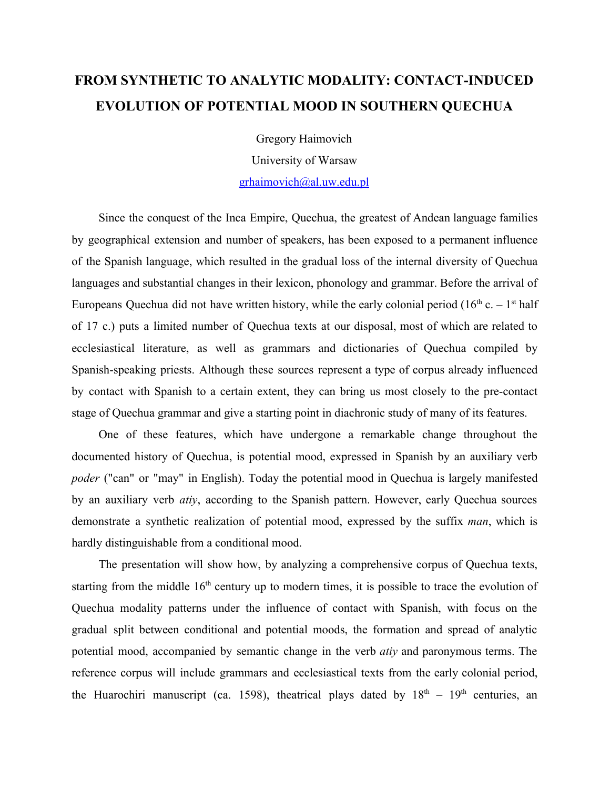## **FROM SYNTHETIC TO ANALYTIC MODALITY: CONTACTINDUCED EVOLUTION OF POTENTIAL MOOD IN SOUTHERN QUECHUA**

Gregory Haimovich

University of Warsaw

[grhaimovich@al.uw.edu.pl](mailto:grhaimovich@al.uw.edu.pl)

Since the conquest of the Inca Empire, Quechua, the greatest of Andean language families by geographical extension and number of speakers, has been exposed to a permanent influence of the Spanish language, which resulted in the gradual loss of the internal diversity of Quechua languages and substantial changes in their lexicon, phonology and grammar. Before the arrival of Europeans Quechua did not have written history, while the early colonial period ( $16<sup>th</sup>$  c.  $-1<sup>st</sup>$  half of 17 c.) puts a limited number of Quechua texts at our disposal, most of which are related to ecclesiastical literature, as well as grammars and dictionaries of Quechua compiled by Spanish-speaking priests. Although these sources represent a type of corpus already influenced by contact with Spanish to a certain extent, they can bring us most closely to the precontact stage of Quechua grammar and give a starting point in diachronic study of many of its features.

One of these features, which have undergone a remarkable change throughout the documented history of Quechua, is potential mood, expressed in Spanish by an auxiliary verb *poder* ("can" or "may" in English). Today the potential mood in Quechua is largely manifested by an auxiliary verb *atiy*, according to the Spanish pattern. However, early Quechua sources demonstrate a synthetic realization of potential mood, expressed by the suffix *man*, which is hardly distinguishable from a conditional mood.

The presentation will show how, by analyzing a comprehensive corpus of Quechua texts, starting from the middle  $16<sup>th</sup>$  century up to modern times, it is possible to trace the evolution of Quechua modality patterns under the influence of contact with Spanish, with focus on the gradual split between conditional and potential moods, the formation and spread of analytic potential mood, accompanied by semantic change in the verb *atiy* and paronymous terms. The reference corpus will include grammars and ecclesiastical texts from the early colonial period, the Huarochiri manuscript (ca. 1598), theatrical plays dated by  $18<sup>th</sup> - 19<sup>th</sup>$  centuries, an